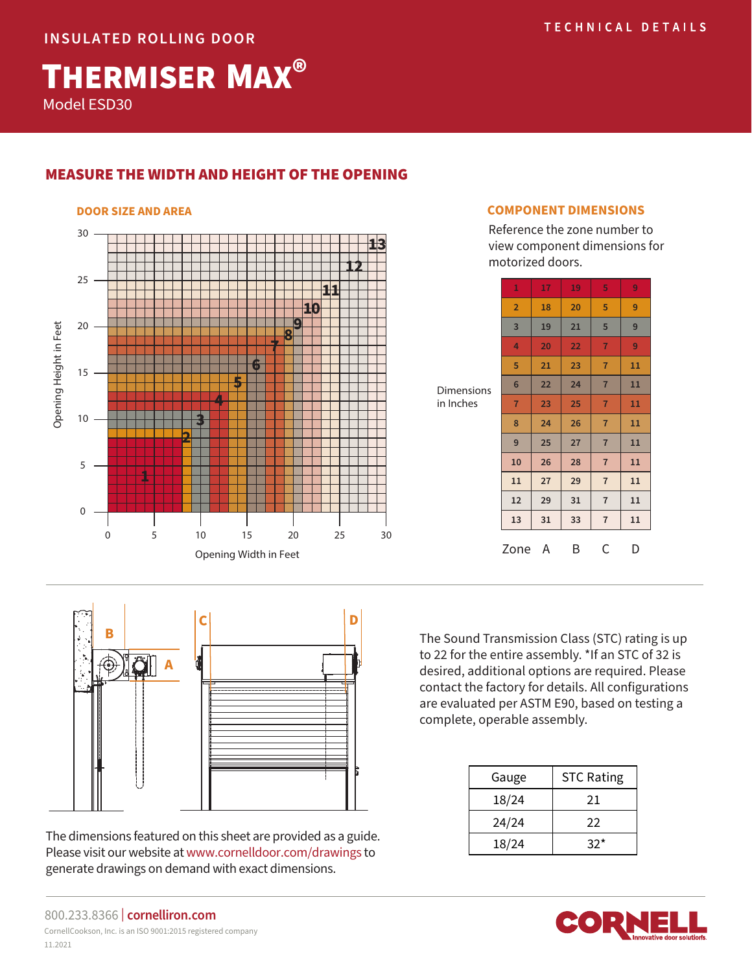THERMISER MAX® Model ESD30

# MEASURE THE WIDTH AND HEIGHT OF THE OPENING



### **DOOR SIZE AND AREA COMPONENT DIMENSIONS**

Reference the zone number to view component dimensions for motorized doors.

|                                | $\mathbf{1}$   | 17 | 19 | 5              | 9  |
|--------------------------------|----------------|----|----|----------------|----|
| <b>Dimensions</b><br>in Inches | $\overline{2}$ | 18 | 20 | 5              | 9  |
|                                | 3              | 19 | 21 | 5              | 9  |
|                                | 4              | 20 | 22 | $\overline{7}$ | 9  |
|                                | 5              | 21 | 23 | $\overline{7}$ | 11 |
|                                | $6\phantom{1}$ | 22 | 24 | $\overline{7}$ | 11 |
|                                | $\overline{7}$ | 23 | 25 | $\overline{7}$ | 11 |
|                                | 8              | 24 | 26 | $\overline{7}$ | 11 |
|                                | 9              | 25 | 27 | $\overline{7}$ | 11 |
|                                | 10             | 26 | 28 | $\overline{7}$ | 11 |
|                                | 11             | 27 | 29 | $\overline{7}$ | 11 |
|                                | 12             | 29 | 31 | $\overline{7}$ | 11 |
|                                | 13             | 31 | 33 | $\overline{7}$ | 11 |
|                                | Zone           | A  | B  | C              | D  |



The dimensions featured on this sheet are provided as a guide. Please visit our website at www.cornelldoor.com/drawings to generate drawings on demand with exact dimensions.

The Sound Transmission Class (STC) rating is up to 22 for the entire assembly. \*If an STC of 32 is desired, additional options are required. Please contact the factory for details. All configurations are evaluated per ASTM E90, based on testing a complete, operable assembly.

| Gauge | <b>STC Rating</b> |  |  |
|-------|-------------------|--|--|
| 18/24 | 21                |  |  |
| 24/24 | 22                |  |  |
| 18/24 | 32*               |  |  |